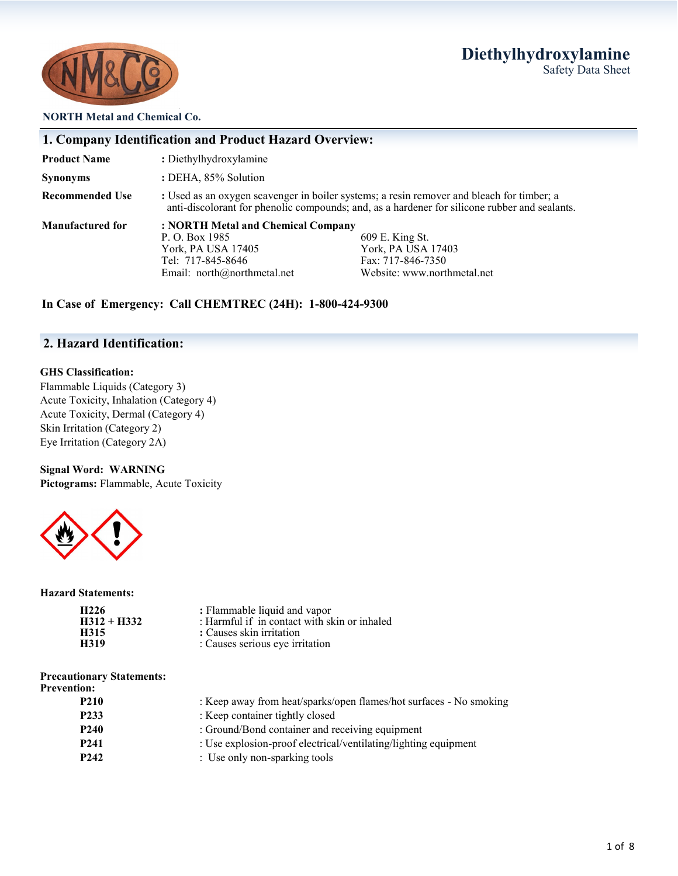# **Diethylhydroxylamine** Safety Data Sheet



#### **NORTH Metal and Chemical Co.**

|                         | 1. Company Identification and Product Hazard Overview:                                                                                                                                                                        |  |  |
|-------------------------|-------------------------------------------------------------------------------------------------------------------------------------------------------------------------------------------------------------------------------|--|--|
| <b>Product Name</b>     | : Diethylhydroxylamine                                                                                                                                                                                                        |  |  |
| <b>Synonyms</b>         | : DEHA, 85% Solution                                                                                                                                                                                                          |  |  |
| <b>Recommended Use</b>  | : Used as an oxygen scavenger in boiler systems; a resin remover and bleach for timber; a<br>anti-discolorant for phenolic compounds; and, as a hardener for silicone rubber and sealants.                                    |  |  |
| <b>Manufactured for</b> | : NORTH Metal and Chemical Company<br>609 E. King St.<br>P. O. Box 1985<br>York, PA USA 17403<br>York, PA USA 17405<br>Tel: 717-845-8646<br>Fax: 717-846-7350<br>Website: www.northmetal.net<br>Email: $north@northmetal.net$ |  |  |

### **In Case of Emergency: Call CHEMTREC (24H): 1-800-424-9300**

## **2. Hazard Identification:**

#### **GHS Classification:**

Flammable Liquids (Category 3) Acute Toxicity, Inhalation (Category 4) Acute Toxicity, Dermal (Category 4) Skin Irritation (Category 2) Eye Irritation (Category 2A)

#### **Signal Word: WARNING**

**Pictograms:** Flammable, Acute Toxicity



#### **Hazard Statements:**

| H226          | : Flammable liquid and vapor                 |
|---------------|----------------------------------------------|
| $H312 + H332$ | : Harmful if in contact with skin or inhaled |
| H315          | : Causes skin irritation                     |
| H319          | : Causes serious eye irritation              |

| <b>Precautionary Statements:</b> |  |
|----------------------------------|--|
| <b>Prevention:</b>               |  |

| : Keep away from heat/sparks/open flames/hot surfaces - No smoking |
|--------------------------------------------------------------------|
| : Keep container tightly closed                                    |
| : Ground/Bond container and receiving equipment                    |
| : Use explosion-proof electrical/ventilating/lighting equipment    |
| : Use only non-sparking tools                                      |
|                                                                    |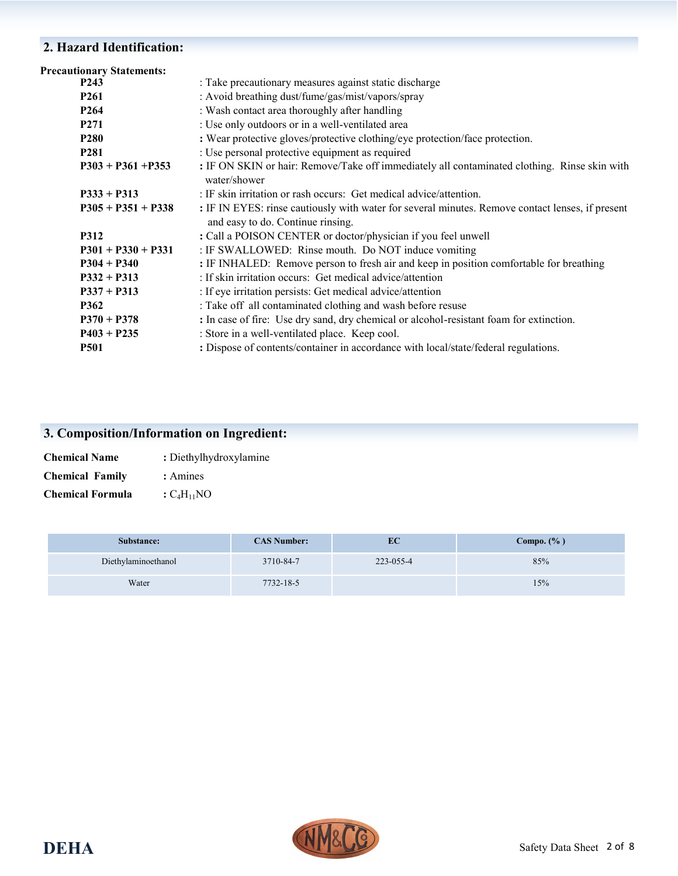# **2. Hazard Identification:**

| : Take precautionary measures against static discharge                                                                                |
|---------------------------------------------------------------------------------------------------------------------------------------|
| : Avoid breathing dust/fume/gas/mist/vapors/spray                                                                                     |
| : Wash contact area thoroughly after handling                                                                                         |
| : Use only outdoors or in a well-ventilated area                                                                                      |
| : Wear protective gloves/protective clothing/eye protection/face protection.                                                          |
| : Use personal protective equipment as required                                                                                       |
| : IF ON SKIN or hair: Remove/Take off immediately all contaminated clothing. Rinse skin with<br>water/shower                          |
| : IF skin irritation or rash occurs: Get medical advice/attention.                                                                    |
| : IF IN EYES: rinse cautiously with water for several minutes. Remove contact lenses, if present<br>and easy to do. Continue rinsing. |
| : Call a POISON CENTER or doctor/physician if you feel unwell                                                                         |
| : IF SWALLOWED: Rinse mouth. Do NOT induce vomiting                                                                                   |
| : IF INHALED: Remove person to fresh air and keep in position comfortable for breathing                                               |
| : If skin irritation occurs: Get medical advice/attention                                                                             |
| : If eye irritation persists: Get medical advice/attention                                                                            |
| : Take off all contaminated clothing and wash before resuse                                                                           |
| : In case of fire: Use dry sand, dry chemical or alcohol-resistant foam for extinction.                                               |
| : Store in a well-ventilated place. Keep cool.                                                                                        |
| : Dispose of contents/container in accordance with local/state/federal regulations.                                                   |
|                                                                                                                                       |

# **3. Composition/Information on Ingredient:**

| <b>Chemical Name</b>    | : Diethylhydroxylamine |
|-------------------------|------------------------|
| <b>Chemical Family</b>  | : Amines               |
| <b>Chemical Formula</b> | $C_4H_{11}NO$          |

| Substance:          | <b>CAS Number:</b> | EC        | Compo. $(\% )$ |
|---------------------|--------------------|-----------|----------------|
| Diethylaminoethanol | 3710-84-7          | 223-055-4 | 85%            |
| Water               | 7732-18-5          |           | 15%            |

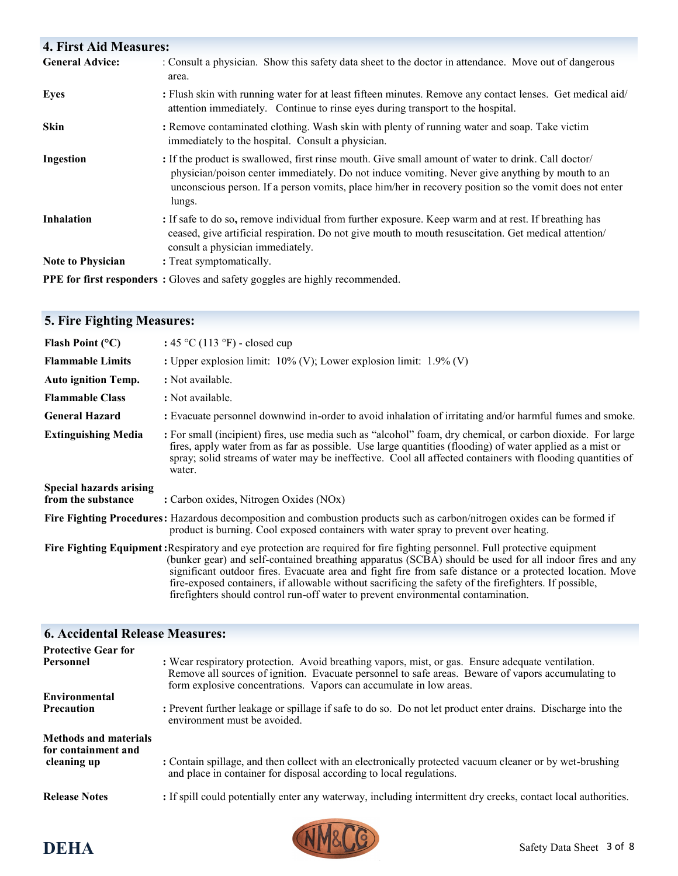# **4. First Aid Measures:**

| <b>General Advice:</b>   | : Consult a physician. Show this safety data sheet to the doctor in attendance. Move out of dangerous<br>area.                                                                                                                                                                                                             |  |
|--------------------------|----------------------------------------------------------------------------------------------------------------------------------------------------------------------------------------------------------------------------------------------------------------------------------------------------------------------------|--|
| <b>Eyes</b>              | : Flush skin with running water for at least fifteen minutes. Remove any contact lenses. Get medical aid/<br>attention immediately. Continue to rinse eyes during transport to the hospital.                                                                                                                               |  |
| Skin                     | : Remove contaminated clothing. Wash skin with plenty of running water and soap. Take victim<br>immediately to the hospital. Consult a physician.                                                                                                                                                                          |  |
| Ingestion                | : If the product is swallowed, first rinse mouth. Give small amount of water to drink. Call doctor/<br>physician/poison center immediately. Do not induce vomiting. Never give anything by mouth to an<br>unconscious person. If a person vomits, place him/her in recovery position so the vomit does not enter<br>lungs. |  |
| <b>Inhalation</b>        | : If safe to do so, remove individual from further exposure. Keep warm and at rest. If breathing has<br>ceased, give artificial respiration. Do not give mouth to mouth resuscitation. Get medical attention/<br>consult a physician immediately.                                                                          |  |
| <b>Note to Physician</b> | : Treat symptomatically.                                                                                                                                                                                                                                                                                                   |  |
|                          | PPE for first responders : Gloves and safety goggles are highly recommended.                                                                                                                                                                                                                                               |  |

| <b>5. Fire Fighting Measures:</b>                    |                                                                                                                                                                                                                                                                                                                                                                                                                                                                                                                                                   |
|------------------------------------------------------|---------------------------------------------------------------------------------------------------------------------------------------------------------------------------------------------------------------------------------------------------------------------------------------------------------------------------------------------------------------------------------------------------------------------------------------------------------------------------------------------------------------------------------------------------|
| Flash Point $(^{\circ}C)$                            | : $45 \text{ °C}$ (113 °F) - closed cup                                                                                                                                                                                                                                                                                                                                                                                                                                                                                                           |
| <b>Flammable Limits</b>                              | : Upper explosion limit: $10\%$ (V); Lower explosion limit: $1.9\%$ (V)                                                                                                                                                                                                                                                                                                                                                                                                                                                                           |
| <b>Auto ignition Temp.</b>                           | : Not available.                                                                                                                                                                                                                                                                                                                                                                                                                                                                                                                                  |
| <b>Flammable Class</b>                               | : Not available.                                                                                                                                                                                                                                                                                                                                                                                                                                                                                                                                  |
| <b>General Hazard</b>                                | : Evacuate personnel downwind in-order to avoid inhalation of irritating and/or harmful fumes and smoke.                                                                                                                                                                                                                                                                                                                                                                                                                                          |
| <b>Extinguishing Media</b>                           | : For small (incipient) fires, use media such as "alcohol" foam, dry chemical, or carbon dioxide. For large<br>fires, apply water from as far as possible. Use large quantities (flooding) of water applied as a mist or<br>spray; solid streams of water may be ineffective. Cool all affected containers with flooding quantities of<br>water.                                                                                                                                                                                                  |
| <b>Special hazards arising</b><br>from the substance | : Carbon oxides, Nitrogen Oxides (NOx)                                                                                                                                                                                                                                                                                                                                                                                                                                                                                                            |
|                                                      | Fire Fighting Procedures: Hazardous decomposition and combustion products such as carbon/nitrogen oxides can be formed if<br>product is burning. Cool exposed containers with water spray to prevent over heating.                                                                                                                                                                                                                                                                                                                                |
|                                                      | Fire Fighting Equipment: Respiratory and eye protection are required for fire fighting personnel. Full protective equipment<br>(bunker gear) and self-contained breathing apparatus (SCBA) should be used for all indoor fires and any<br>significant outdoor fires. Evacuate area and fight fire from safe distance or a protected location. Move<br>fire-exposed containers, if allowable without sacrificing the safety of the firefighters. If possible,<br>firefighters should control run-off water to prevent environmental contamination. |

| <b>6. Accidental Release Measures:</b>              |                                                                                                                                                                                                                                                                               |
|-----------------------------------------------------|-------------------------------------------------------------------------------------------------------------------------------------------------------------------------------------------------------------------------------------------------------------------------------|
| <b>Protective Gear for</b>                          |                                                                                                                                                                                                                                                                               |
| Personnel                                           | : Wear respiratory protection. Avoid breathing vapors, mist, or gas. Ensure adequate ventilation.<br>Remove all sources of ignition. Evacuate personnel to safe areas. Beware of vapors accumulating to<br>form explosive concentrations. Vapors can accumulate in low areas. |
| Environmental                                       |                                                                                                                                                                                                                                                                               |
| <b>Precaution</b>                                   | : Prevent further leakage or spillage if safe to do so. Do not let product enter drains. Discharge into the<br>environment must be avoided.                                                                                                                                   |
| <b>Methods and materials</b><br>for containment and |                                                                                                                                                                                                                                                                               |
| cleaning up                                         | : Contain spillage, and then collect with an electronically protected vacuum cleaner or by wet-brushing<br>and place in container for disposal according to local regulations.                                                                                                |
| <b>Release Notes</b>                                | : If spill could potentially enter any waterway, including intermittent dry creeks, contact local authorities.                                                                                                                                                                |

# **DEHA** Safety Data Sheet 3 of 8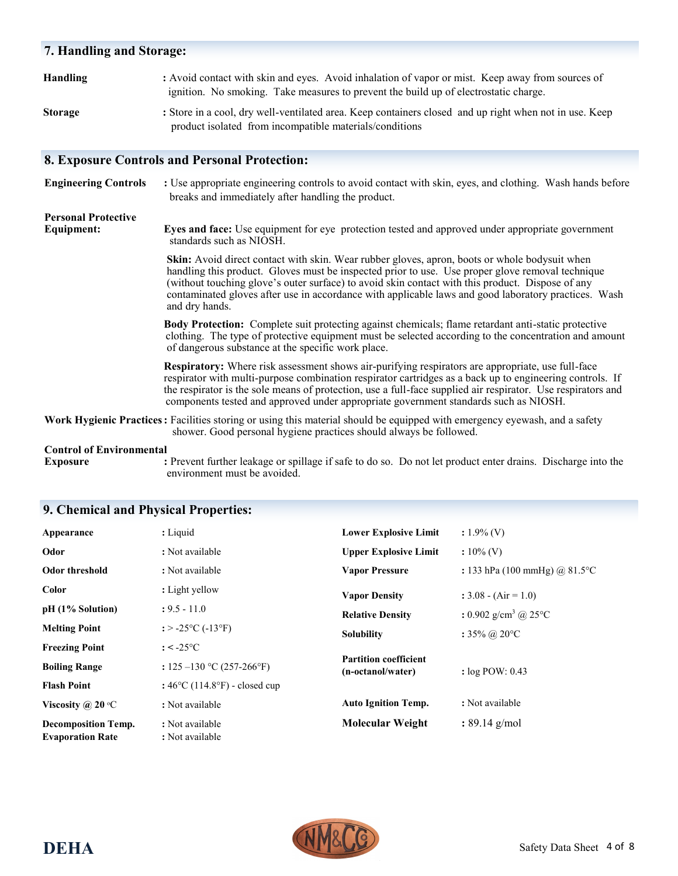| 7. Handling and Storage:                        |                                                                                                                                                                                                                                                                                                                                                                                                                                 |  |  |
|-------------------------------------------------|---------------------------------------------------------------------------------------------------------------------------------------------------------------------------------------------------------------------------------------------------------------------------------------------------------------------------------------------------------------------------------------------------------------------------------|--|--|
| <b>Handling</b>                                 | : Avoid contact with skin and eyes. Avoid inhalation of vapor or mist. Keep away from sources of<br>ignition. No smoking. Take measures to prevent the build up of electrostatic charge.                                                                                                                                                                                                                                        |  |  |
| <b>Storage</b>                                  | : Store in a cool, dry well-ventilated area. Keep containers closed and up right when not in use. Keep<br>product isolated from incompatible materials/conditions                                                                                                                                                                                                                                                               |  |  |
|                                                 | <b>8. Exposure Controls and Personal Protection:</b>                                                                                                                                                                                                                                                                                                                                                                            |  |  |
| <b>Engineering Controls</b>                     | : Use appropriate engineering controls to avoid contact with skin, eyes, and clothing. Wash hands before<br>breaks and immediately after handling the product.                                                                                                                                                                                                                                                                  |  |  |
| <b>Personal Protective</b><br><b>Equipment:</b> | <b>Eyes and face:</b> Use equipment for eye protection tested and approved under appropriate government<br>standards such as NIOSH.                                                                                                                                                                                                                                                                                             |  |  |
|                                                 | Skin: Avoid direct contact with skin. Wear rubber gloves, apron, boots or whole bodysuit when<br>handling this product. Gloves must be inspected prior to use. Use proper glove removal technique<br>(without touching glove's outer surface) to avoid skin contact with this product. Dispose of any<br>contaminated gloves after use in accordance with applicable laws and good laboratory practices. Wash<br>and dry hands. |  |  |
|                                                 | <b>Body Protection:</b> Complete suit protecting against chemicals; flame retardant anti-static protective<br>clothing. The type of protective equipment must be selected according to the concentration and amount<br>of dangerous substance at the specific work place.                                                                                                                                                       |  |  |
|                                                 | Respiratory: Where risk assessment shows air-purifying respirators are appropriate, use full-face<br>respirator with multi-purpose combination respirator cartridges as a back up to engineering controls. If<br>the respirator is the sole means of protection, use a full-face supplied air respirator. Use respirators and<br>components tested and approved under appropriate government standards such as NIOSH.           |  |  |
|                                                 | Work Hygienic Practices: Facilities storing or using this material should be equipped with emergency eyewash, and a safety<br>shower. Good personal hygiene practices should always be followed.                                                                                                                                                                                                                                |  |  |
| <b>Control of Environmental</b>                 |                                                                                                                                                                                                                                                                                                                                                                                                                                 |  |  |

**Exposure** : Prevent further leakage or spillage if safe to do so. Do not let product enter drains. Discharge into the environment must be avoided.

# **9. Chemical and Physical Properties:**

| Appearance                                            | : Liquid                                           | <b>Lower Explosive Limit</b>                      | $: 1.9\%$ (V)                               |
|-------------------------------------------------------|----------------------------------------------------|---------------------------------------------------|---------------------------------------------|
| Odor                                                  | : Not available                                    | <b>Upper Explosive Limit</b>                      | $: 10\%$ (V)                                |
| Odor threshold                                        | : Not available                                    | <b>Vapor Pressure</b>                             | : 133 hPa (100 mmHg) @ 81.5 °C              |
| Color                                                 | : Light yellow                                     | <b>Vapor Density</b>                              | : $3.08 - (Air = 1.0)$                      |
| $pH(1%$ Solution)                                     | $: 9.5 - 11.0$                                     | <b>Relative Density</b>                           | : 0.902 g/cm <sup>3</sup> @ 25 $^{\circ}$ C |
| <b>Melting Point</b>                                  | : $> -25$ °C ( $-13$ °F)                           | <b>Solubility</b>                                 | : $35\%$ @ 20 °C                            |
| <b>Freezing Point</b>                                 | $: < -25$ °C                                       |                                                   |                                             |
| <b>Boiling Range</b>                                  | : $125 - 130$ °C (257-266°F)                       | <b>Partition coefficient</b><br>(n-octanol/water) | : $log POW: 0.43$                           |
| <b>Flash Point</b>                                    | : $46^{\circ}$ C (114.8 $^{\circ}$ F) - closed cup |                                                   |                                             |
| Viscosity @ 20 $\mathrm{^{\circ}C}$                   | : Not available                                    | <b>Auto Ignition Temp.</b>                        | : Not available                             |
| <b>Decomposition Temp.</b><br><b>Evaporation Rate</b> | : Not available<br>: Not available                 | <b>Molecular Weight</b>                           | $: 89.14$ g/mol                             |

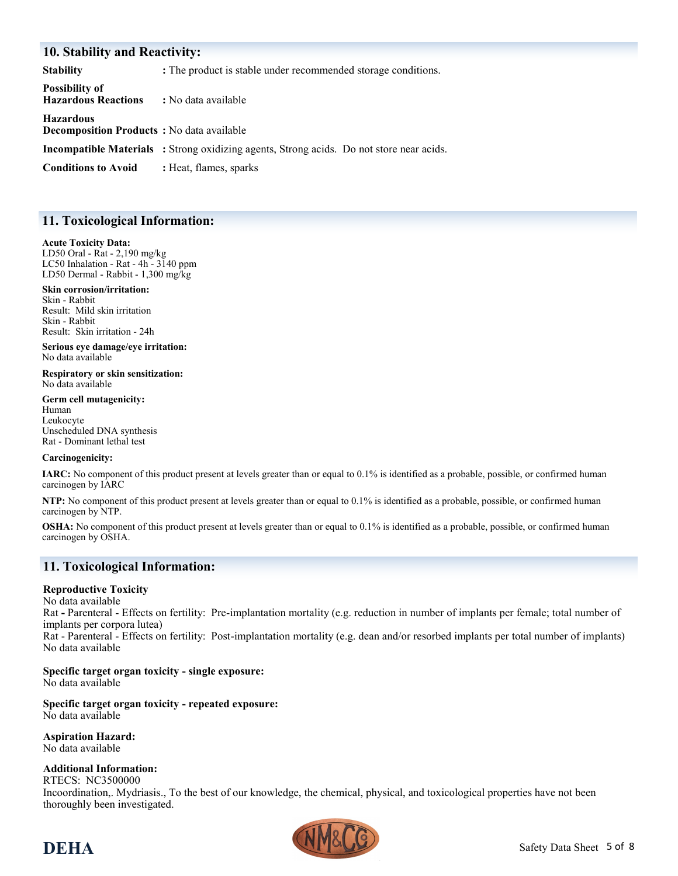#### **10. Stability and Reactivity:**

**Stability :** The product is stable under recommended storage conditions. **Possibility of Hazardous Reactions :** No data available **Hazardous Decomposition Products :** No data available **Incompatible Materials :** Strong oxidizing agents, Strong acids. Do not store near acids. **Conditions to Avoid :** Heat, flames, sparks

#### **11. Toxicological Information:**

#### **Acute Toxicity Data:**

LD50 Oral - Rat - 2,190 mg/kg LC50 Inhalation - Rat - 4h - 3140 ppm LD50 Dermal - Rabbit - 1,300 mg/kg

**Skin corrosion/irritation:** Skin - Rabbit Result: Mild skin irritation Skin - Rabbit Result: Skin irritation - 24h

**Serious eye damage/eye irritation:** No data available

**Respiratory or skin sensitization:** No data available

**Germ cell mutagenicity:** Human Leukocyte Unscheduled DNA synthesis Rat - Dominant lethal test

#### **Carcinogenicity:**

**IARC:** No component of this product present at levels greater than or equal to 0.1% is identified as a probable, possible, or confirmed human carcinogen by IARC

**NTP:** No component of this product present at levels greater than or equal to 0.1% is identified as a probable, possible, or confirmed human carcinogen by NTP.

**OSHA:** No component of this product present at levels greater than or equal to 0.1% is identified as a probable, possible, or confirmed human carcinogen by OSHA.

#### **11. Toxicological Information:**

#### **Reproductive Toxicity**

No data available Rat **-** Parenteral - Effects on fertility: Pre-implantation mortality (e.g. reduction in number of implants per female; total number of implants per corpora lutea) Rat - Parenteral - Effects on fertility: Post-implantation mortality (e.g. dean and/or resorbed implants per total number of implants) No data available

#### **Specific target organ toxicity - single exposure:**

No data available

**Specific target organ toxicity - repeated exposure:** No data available

**Aspiration Hazard:** No data available

#### **Additional Information:**

RTECS: NC3500000 Incoordination,. Mydriasis., To the best of our knowledge, the chemical, physical, and toxicological properties have not been thoroughly been investigated.

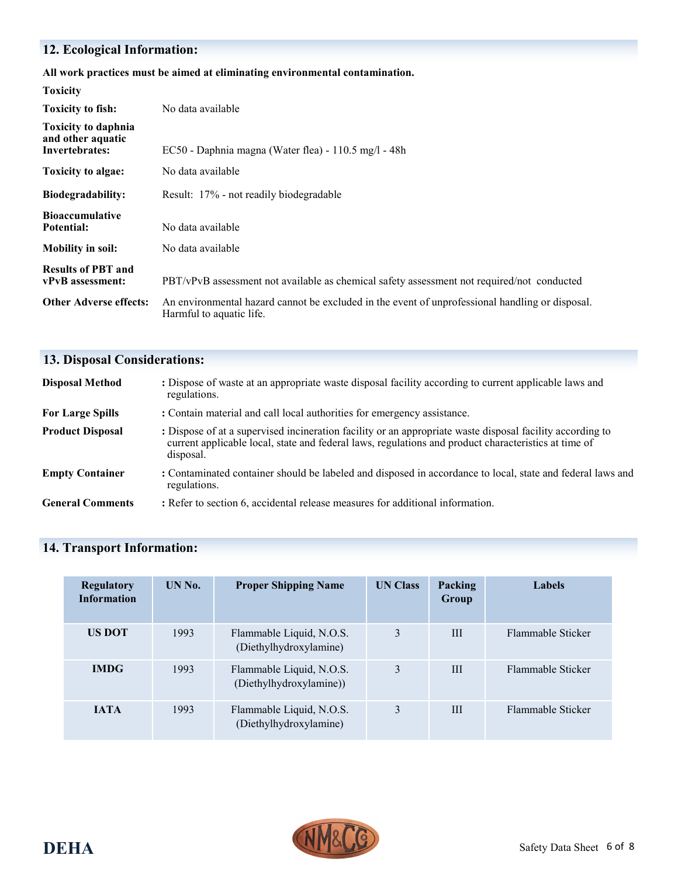# **12. Ecological Information:**

#### **All work practices must be aimed at eliminating environmental contamination.**

| <b>Toxicity</b>                                                          |                                                                                                                             |
|--------------------------------------------------------------------------|-----------------------------------------------------------------------------------------------------------------------------|
| <b>Toxicity to fish:</b>                                                 | No data available                                                                                                           |
| <b>Toxicity to daphnia</b><br>and other aquatic<br><b>Invertebrates:</b> | $EC50$ - Daphnia magna (Water flea) - 110.5 mg/l - 48h                                                                      |
| <b>Toxicity to algae:</b>                                                | No data available                                                                                                           |
| <b>Biodegradability:</b>                                                 | Result: 17% - not readily biodegradable                                                                                     |
| <b>Bioaccumulative</b><br>Potential:                                     | No data available                                                                                                           |
| <b>Mobility in soil:</b>                                                 | No data available                                                                                                           |
| <b>Results of PBT and</b><br>vPvB assessment:                            | PBT/vPvB assessment not available as chemical safety assessment not required/not conducted                                  |
| <b>Other Adverse effects:</b>                                            | An environmental hazard cannot be excluded in the event of unprofessional handling or disposal.<br>Harmful to aquatic life. |

# **13. Disposal Considerations:**

| <b>Disposal Method</b>  | : Dispose of waste at an appropriate waste disposal facility according to current applicable laws and<br>regulations.                                                                                                          |
|-------------------------|--------------------------------------------------------------------------------------------------------------------------------------------------------------------------------------------------------------------------------|
| <b>For Large Spills</b> | : Contain material and call local authorities for emergency assistance.                                                                                                                                                        |
| <b>Product Disposal</b> | : Dispose of at a supervised incineration facility or an appropriate waste disposal facility according to<br>current applicable local, state and federal laws, regulations and product characteristics at time of<br>disposal. |
| <b>Empty Container</b>  | : Contaminated container should be labeled and disposed in accordance to local, state and federal laws and<br>regulations.                                                                                                     |
| <b>General Comments</b> | : Refer to section 6, accidental release measures for additional information.                                                                                                                                                  |

# **14. Transport Information:**

| <b>Regulatory</b><br><b>Information</b> | UN No. | <b>Proper Shipping Name</b>                         | <b>UN Class</b> | Packing<br><b>Group</b> | Labels            |
|-----------------------------------------|--------|-----------------------------------------------------|-----------------|-------------------------|-------------------|
| <b>US DOT</b>                           | 1993   | Flammable Liquid, N.O.S.<br>(Diethylhydroxylamine)  | 3               | III                     | Flammable Sticker |
| <b>IMDG</b>                             | 1993   | Flammable Liquid, N.O.S.<br>(Diethylhydroxylamine)) | 3               | III                     | Flammable Sticker |
| <b>IATA</b>                             | 1993   | Flammable Liquid, N.O.S.<br>(Diethylhydroxylamine)  | 3               | III                     | Flammable Sticker |

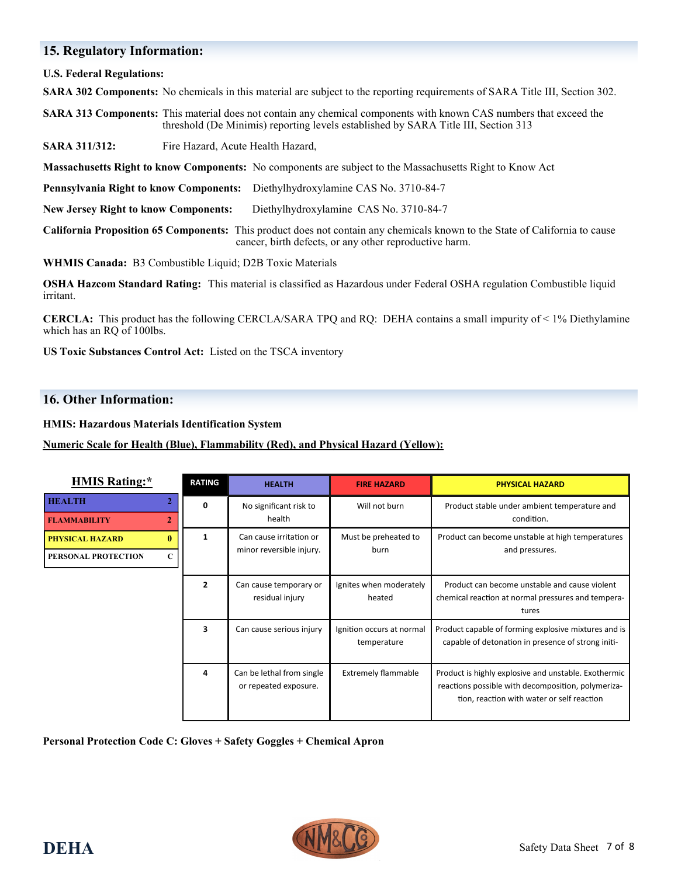#### **15. Regulatory Information:**

**U.S. Federal Regulations:**

**SARA 302 Components:** No chemicals in this material are subject to the reporting requirements of SARA Title III, Section 302.

**SARA 313 Components:** This material does not contain any chemical components with known CAS numbers that exceed the threshold (De Minimis) reporting levels established by SARA Title III, Section 313

**SARA 311/312:** Fire Hazard, Acute Health Hazard,

**Massachusetts Right to know Components:** No components are subject to the Massachusetts Right to Know Act

**Pennsylvania Right to know Components:** Diethylhydroxylamine CAS No. 3710-84-7

**New Jersey Right to know Components:** Diethylhydroxylamine CAS No. 3710-84-7

**California Proposition 65 Components:** This product does not contain any chemicals known to the State of California to cause cancer, birth defects, or any other reproductive harm.

**WHMIS Canada:** B3 Combustible Liquid; D2B Toxic Materials

**OSHA Hazcom Standard Rating:** This material is classified as Hazardous under Federal OSHA regulation Combustible liquid irritant.

**CERCLA:** This product has the following CERCLA/SARA TPQ and RQ: DEHA contains a small impurity of < 1% Diethylamine which has an RQ of 100lbs.

**US Toxic Substances Control Act:** Listed on the TSCA inventory

#### **16. Other Information:**

**HMIS: Hazardous Materials Identification System**

**Numeric Scale for Health (Blue), Flammability (Red), and Physical Hazard (Yellow):**

| <b>HMIS Rating:*</b>                   | <b>RATING</b>  | <b>HEALTH</b>                                      | <b>FIRE HAZARD</b>                       | <b>PHYSICAL HAZARD</b>                                                                                                                                   |
|----------------------------------------|----------------|----------------------------------------------------|------------------------------------------|----------------------------------------------------------------------------------------------------------------------------------------------------------|
| <b>HEALTH</b>                          | 0              | No significant risk to<br>health                   | Will not burn                            | Product stable under ambient temperature and<br>condition.                                                                                               |
| $\overline{2}$<br><b>FLAMMABILITY</b>  |                |                                                    |                                          |                                                                                                                                                          |
| $\mathbf{0}$<br><b>PHYSICAL HAZARD</b> | 1              | Can cause irritation or                            | Must be preheated to<br>burn             | Product can become unstable at high temperatures<br>and pressures.                                                                                       |
| PERSONAL PROTECTION<br>C               |                | minor reversible injury.                           |                                          |                                                                                                                                                          |
|                                        | $\overline{2}$ | Can cause temporary or<br>residual injury          | Ignites when moderately<br>heated        | Product can become unstable and cause violent<br>chemical reaction at normal pressures and tempera-<br>tures                                             |
|                                        | 3              | Can cause serious injury                           | Ignition occurs at normal<br>temperature | Product capable of forming explosive mixtures and is<br>capable of detonation in presence of strong initi-                                               |
|                                        | 4              | Can be lethal from single<br>or repeated exposure. | <b>Extremely flammable</b>               | Product is highly explosive and unstable. Exothermic<br>reactions possible with decomposition, polymeriza-<br>tion, reaction with water or self reaction |

**Personal Protection Code C: Gloves + Safety Goggles + Chemical Apron**